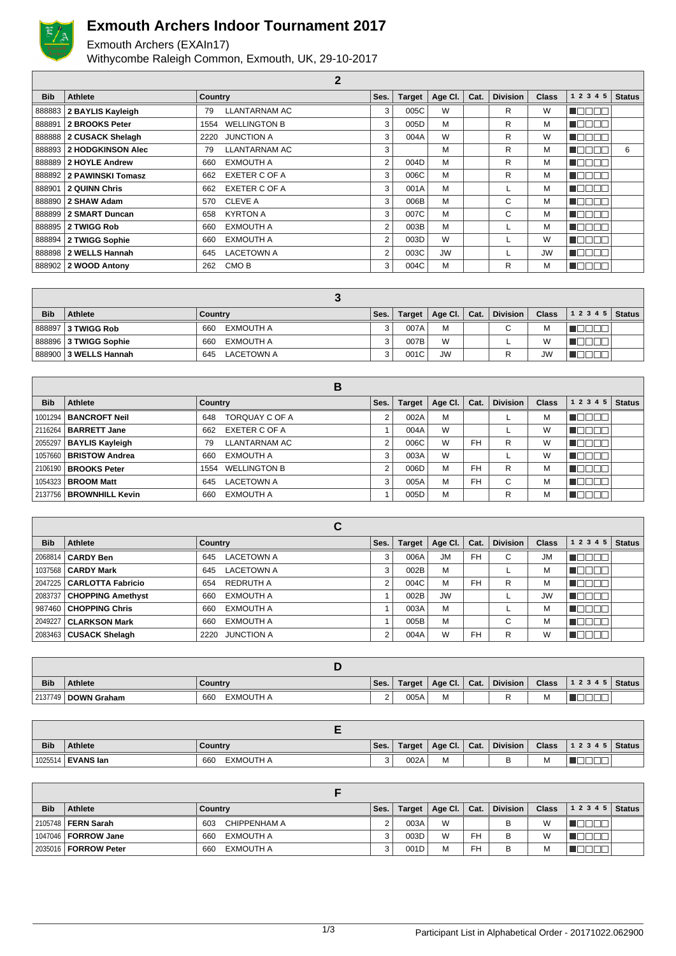

 $\sqrt{ }$ 

## **Exmouth Archers Indoor Tournament 2017**

Exmouth Archers (EXAIn17) Withycombe Raleigh Common, Exmouth, UK, 29-10-2017

| <b>Bib</b> | <b>Athlete</b>             | <b>Country</b>              | Ses. | <b>Target</b> | Age CI.   | Cat. | <b>Division</b> | <b>Class</b> | 1 2 3 4 5 | <b>Status</b> |
|------------|----------------------------|-----------------------------|------|---------------|-----------|------|-----------------|--------------|-----------|---------------|
|            | 888883 2 BAYLIS Kayleigh   | LLANTARNAM AC<br>79         | 3    | 005C          | W         |      | R               | W            |           |               |
| 888891     | 2 BROOKS Peter             | <b>WELLINGTON B</b><br>1554 | 3    | 005D          | M         |      | R               | M            | 30        |               |
|            | 888888 2 CUSACK Shelagh    | <b>JUNCTION A</b><br>2220   | 3    | 004A          | W         |      | R               | W            | ┱         |               |
|            | 888893   2 HODGKINSON Alec | LLANTARNAM AC<br>79         | 3    |               | M         |      | R               | м            |           | 6             |
|            | 888889 2 HOYLE Andrew      | EXMOUTH A<br>660            | 2    | 004D          | M         |      | R               | м            | TEE       |               |
|            | 888892   2 PAWINSKI Tomasz | <b>EXETER C OF A</b><br>662 | 3    | 006C          | M         |      | R               | м            | חרו       |               |
| 888901     | 2 QUINN Chris              | <b>EXETER C OF A</b><br>662 | 3    | 001A          | M         |      |                 | M            | 300       |               |
|            | 888890   2 SHAW Adam       | CLEVE A<br>570              | 3    | 006B          | M         |      | C               | M            | 100       |               |
|            | 888899 2 SMART Duncan      | <b>KYRTON A</b><br>658      | 3    | 007C          | M         |      | C               | М            | N E E     |               |
|            | 888895 2 TWIGG Rob         | EXMOUTH A<br>660            | 2    | 003B          | M         |      |                 | M            | ──        |               |
|            | 888894 2 TWIGG Sophie      | EXMOUTH A<br>660            | 2    | 003D          | W         |      |                 | W            | 70 D      |               |
|            | 888898   2 WELLS Hannah    | <b>LACETOWN A</b><br>645    | 2    | 003C          | <b>JW</b> |      |                 | <b>JW</b>    | 300       |               |
|            | 888902 2 WOOD Antony       | CMO <sub>B</sub><br>262     | 3    | 004C          | M         |      | R               | M            | 300       |               |

 $\alpha$ 

| <b>Bib</b> | <b>Athlete</b>          | Country           | Ses. | Target | $\parallel$ Age Cl. $\parallel$ Cat. | Division | Class     | $12345$ Status |  |
|------------|-------------------------|-------------------|------|--------|--------------------------------------|----------|-----------|----------------|--|
|            | 888897 3 TWIGG Rob      | EXMOUTH A<br>660  |      | 007A   | М                                    | C.       | M         |                |  |
|            | 888896 3 TWIGG Sophie   | EXMOUTH A<br>660  |      | 007B   | W                                    |          | W         |                |  |
|            | 888900   3 WELLS Hannah | LACETOWN A<br>645 |      | 001C   | <b>JW</b>                            |          | <b>JW</b> |                |  |

|            |                                | в                          |      |               |         |           |                 |              |                            |
|------------|--------------------------------|----------------------------|------|---------------|---------|-----------|-----------------|--------------|----------------------------|
| <b>Bib</b> | Athlete                        | Country                    | Ses. | <b>Target</b> | Age CI. | Cat.      | <b>Division</b> | <b>Class</b> | <b>Status</b><br>1 2 3 4 5 |
|            | 1001294   <b>BANCROFT Neil</b> | TORQUAY C OF A<br>648      |      | 002A          | M       |           |                 | М            |                            |
|            | 2116264   BARRETT Jane         | EXETER C OF A<br>662       |      | 004A          | W       |           |                 | W            | L                          |
|            | 2055297   BAYLIS Kayleigh      | <b>LLANTARNAM AC</b><br>79 | 2    | 006C          | W       | <b>FH</b> | R               | W            |                            |
|            | 1057660   BRISTOW Andrea       | <b>EXMOUTH A</b><br>660    | 3    | 003A          | W       |           |                 | W            |                            |
|            | 2106190   BROOKS Peter         | 1554 WELLINGTON B          | 2    | 006D          | M       | <b>FH</b> | R               | М            |                            |
|            | 1054323   <b>BROOM Matt</b>    | <b>LACETOWN A</b><br>645   | 3    | 005A          | M       | <b>FH</b> | С               | M            | 70 D D                     |
|            | 2137756   BROWNHILL Kevin      | <b>EXMOUTH A</b><br>660    |      | 005D          | M       |           | R               | М            |                            |

|            |                             | С                         |      |               |                 |           |                 |              |           |               |
|------------|-----------------------------|---------------------------|------|---------------|-----------------|-----------|-----------------|--------------|-----------|---------------|
| <b>Bib</b> | Athlete                     | Country                   | Ses. | <b>Target</b> | Age Cl. $\vert$ | Cat.      | <b>Division</b> | <b>Class</b> | 1 2 3 4 5 | <b>Status</b> |
|            | 2068814   CARDY Ben         | <b>LACETOWN A</b><br>645  | 3    | 006A          | <b>JM</b>       | <b>FH</b> | С               | <b>JM</b>    |           |               |
|            | 1037568   CARDY Mark        | <b>LACETOWN A</b><br>645  | 3    | 002B          | M               |           |                 | M            | 30 C      |               |
|            | 2047225   CARLOTTA Fabricio | REDRUTH A<br>654          |      | 004C          | M               | <b>FH</b> | R               | M            | 30 E      |               |
|            | 2083737   CHOPPING Amethyst | <b>EXMOUTH A</b><br>660   |      | 002B          | <b>JW</b>       |           |                 | <b>JW</b>    | ⊥∟        |               |
|            | 987460 CHOPPING Chris       | EXMOUTH A<br>660          |      | 003A          | M               |           |                 | M            | - III.    |               |
|            | 2049227   CLARKSON Mark     | EXMOUTH A<br>660          |      | 005B          | M               |           | С               | M            | ┐Г        |               |
|            | $ 2083463 $ CUSACK Shelagh  | <b>JUNCTION A</b><br>2220 | ◠    | 004A          | W               | <b>FH</b> | R               | W            |           |               |

| <b>Bib</b> | <b>Athlete</b>      | Country          | Ses.               | Target | Age Cl. $\vert$ Cat. | <b>Division</b> | <b>Class</b> | 1 2 3 4 5 | Status |
|------------|---------------------|------------------|--------------------|--------|----------------------|-----------------|--------------|-----------|--------|
|            | 2137749 DOWN Graham | EXMOUTH A<br>660 | $\sim$<br><u>.</u> | 005A   | M                    |                 | м            |           |        |

| <b>Bib</b> | <b>Athlete</b>      | Country          | Ses.   | Target | Age Cl. | Cat. | <b>Division</b> | <b>Class</b> | 1 2 3 4 5   Status |  |
|------------|---------------------|------------------|--------|--------|---------|------|-----------------|--------------|--------------------|--|
|            | 1025514   EVANS Ian | EXMOUTH A<br>660 | ີ<br>J | 002A   | М       |      |                 | М            |                    |  |

| <b>Bib</b> | <b>Athlete</b>               | Country             | Ses. | Target | Age Cl. $\vert$ | Cat.      | <b>Division</b> | <b>Class</b> | 1 2 3 4 5 | <b>Status</b> |
|------------|------------------------------|---------------------|------|--------|-----------------|-----------|-----------------|--------------|-----------|---------------|
|            | 2105748 <b>  FERN Sarah</b>  | CHIPPENHAM A<br>603 |      | 003A   | W               |           | в               | W            |           |               |
|            | 1047046   <b>FORROW Jane</b> | EXMOUTH A<br>660    |      | 003D   | W               | <b>FH</b> | в               | W            |           |               |
|            | 2035016   FORROW Peter       | EXMOUTH A<br>660    |      | 001D   | M               | <b>FH</b> | в               | м            |           |               |

1/3 Participant List in Alphabetical Order - 20171022.062900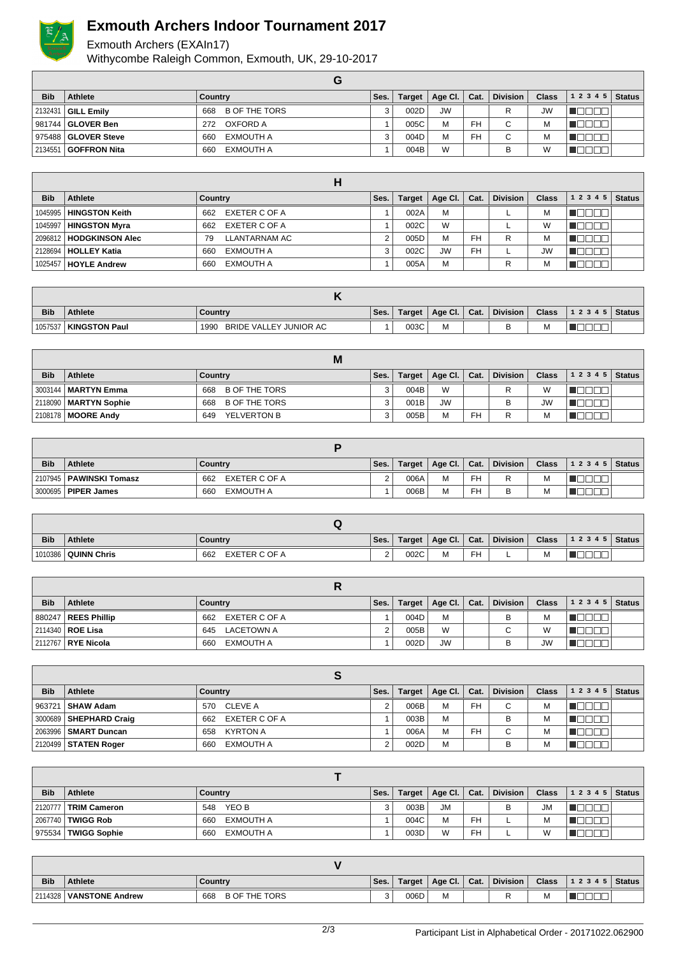

## **Exmouth Archers Indoor Tournament 2017**

## Exmouth Archers (EXAIn17) Withycombe Raleigh Common, Exmouth, UK, 29-10-2017

| <b>Bib</b> | <b>Athlete</b>        | Country                     | Ses. | <b>Target</b> | Age Cl.   | Cat.      | <b>Division</b> | <b>Class</b> | $12345$ Status |  |
|------------|-----------------------|-----------------------------|------|---------------|-----------|-----------|-----------------|--------------|----------------|--|
|            | 2132431   GILL Emily  | <b>B OF THE TORS</b><br>668 |      | 002D          | <b>JW</b> |           | R               | JW           |                |  |
|            |                       | OXFORD A<br>272             |      | 005C          | M         | <b>FH</b> | $\sim$          | М            |                |  |
|            | 975488   GLOVER Steve | EXMOUTH A<br>660            |      | 004D          | M         | FH        | ⌒               | М            |                |  |
|            | 2134551 GOFFRON Nita  | EXMOUTH A<br>660            |      | 004B          | W         |           |                 | W            |                |  |

| <b>Bib</b> | Athlete                         | Country              | Ses. | Target | Age Cl.   | Cat.      | <b>Division</b> | <b>Class</b> | $12345$ Status |  |
|------------|---------------------------------|----------------------|------|--------|-----------|-----------|-----------------|--------------|----------------|--|
|            | 1045995   HINGSTON Keith        | EXETER C OF A<br>662 |      | 002A   | M         |           |                 | М            |                |  |
|            | 1045997   HINGSTON Myra         | EXETER C OF A<br>662 |      | 002C   | W         |           |                 | W            |                |  |
|            | 2096812   HODGKINSON Alec       | LLANTARNAM AC<br>79  | ◠    | 005D   | M         | <b>FH</b> | R               | м            |                |  |
|            | 2128694   HOLLEY Katia          | EXMOUTH A<br>660     | 3    | 002C   | <b>JW</b> | <b>FH</b> | ┕               | <b>JW</b>    |                |  |
|            | , 1025457 <b>  HOYLE Andrew</b> | EXMOUTH A<br>660     |      | 005A   | M         |           |                 | М            |                |  |

| <b>Bib</b> | <b>Athlete</b>         | Country                        | Ses. | Target | ∣ Age Cl. I | Cat. | <b>Division</b> | <b>Class</b> | 12345 | Status . |
|------------|------------------------|--------------------------------|------|--------|-------------|------|-----------------|--------------|-------|----------|
| 1057537    | <b>/ KINGSTON Paul</b> | BRIDE VALLEY JUNIOR AC<br>1990 |      | 003C   | M           |      |                 | M            |       |          |

|            |                         | М                           |      |        |             |      |                 |              |                |  |
|------------|-------------------------|-----------------------------|------|--------|-------------|------|-----------------|--------------|----------------|--|
| <b>Bib</b> | <b>Athlete</b>          | Country                     | Ses. | Target | Age Cl. $ $ | Cat. | <b>Division</b> | <b>Class</b> | $12345$ Status |  |
|            | 3003144   MARTYN Emma   | <b>B OF THE TORS</b><br>668 | વ    | 004B   | W           |      |                 | W            |                |  |
|            | 2118090   MARTYN Sophie | <b>B OF THE TORS</b><br>668 |      | 001B   | <b>JW</b>   |      |                 | <b>JW</b>    |                |  |
|            | 2108178   MOORE Andy    | YELVERTON B<br>649          |      | 005B   | M           | FH   | R               | М            |                |  |

| <b>Bib</b> | Athlete                   | Country              | Ses. | Target | │ Age Cl. │ Cat. |           | <b>Division</b> | <b>Class</b> | $12345$ Status |  |
|------------|---------------------------|----------------------|------|--------|------------------|-----------|-----------------|--------------|----------------|--|
|            | 2107945   PAWINSKI Tomasz | EXETER C OF A<br>662 |      | 006A   | М                | <b>FH</b> | R               | M            |                |  |
|            | 3000695   PIPER James     | EXMOUTH A<br>660     |      | 006B   | М                | <b>FH</b> | В               | M            |                |  |

| <b>Bib</b> | <b>Athlete</b>        | Ses.                 | Target             | Age Cl. | Cat.       | <b>Division</b> | <b>Class</b> | 1 2 3 4 5 | <b>Status</b> |  |  |
|------------|-----------------------|----------------------|--------------------|---------|------------|-----------------|--------------|-----------|---------------|--|--|
|            | 1010386   QUINN Chris | EXETER C OF A<br>662 | $\sim$<br><u>.</u> | 002C    | . .<br>IVI | FH              |              | M         | ___           |  |  |

| <b>Bib</b> | Athlete                   | Country           | Ses. | Target | Age Cl. Cat. |  | <b>Division</b> | <b>Class</b> | $12345$ Status |  |  |  |  |
|------------|---------------------------|-------------------|------|--------|--------------|--|-----------------|--------------|----------------|--|--|--|--|
|            | 880247   REES Phillip     | 662 EXETER C OF A |      | 004D   | М            |  | в               | M            |                |  |  |  |  |
|            | 2114340 <b>  ROE Lisa</b> | LACETOWN A<br>645 |      | 005B   | W            |  | C               | W            |                |  |  |  |  |
|            | 2112767   RYE Nicola      | EXMOUTH A<br>660  |      | 002D   | <b>JW</b>    |  | в               | <b>JW</b>    |                |  |  |  |  |

| <b>Bib</b> | <b>Athlete</b>              | Country              | Ses. | <b>Target</b> | Age Cl. $ $ | Cat.      | <b>Division</b> | <b>Class</b> | 1 2 3 4 5 | <b>Status</b> |  |  |  |
|------------|-----------------------------|----------------------|------|---------------|-------------|-----------|-----------------|--------------|-----------|---------------|--|--|--|
|            | 963721   SHAW Adam          | 570 CLEVE A          |      | 006B          | M           | FH        | С               | м            |           |               |  |  |  |
|            | 3000689   SHEPHARD Craig    | EXETER C OF A<br>662 |      | 003B          | M           |           | в               | м            |           |               |  |  |  |
|            | 2063996 <b>SMART Duncan</b> | KYRTON A<br>658      |      | 006A          | M           | <b>FH</b> | C.              | M            |           |               |  |  |  |
|            | 2120499   STATEN Roger      | EXMOUTH A<br>660     |      | 002D          | M           |           | B               | M            |           |               |  |  |  |

| <b>Bib</b> | <b>Athlete</b>           | Country          | Ses. |      | Target   Age Cl.   Cat. |           | <b>Division</b> | <b>Class</b> | 1 2 3 4 5 | <b>Status</b> |  |  |  |
|------------|--------------------------|------------------|------|------|-------------------------|-----------|-----------------|--------------|-----------|---------------|--|--|--|
|            | 2120777   TRIM Cameron   | YEO B<br>548     |      | 003B | <b>JM</b>               |           | B               | <b>JM</b>    |           |               |  |  |  |
|            | 2067740 <b>TWIGG Rob</b> | EXMOUTH A<br>660 |      | 004C | M                       | FH        |                 | M            |           |               |  |  |  |
|            | 975534   TWIGG Sophie    | EXMOUTH A<br>660 |      | 003D | W                       | <b>FH</b> |                 | W            |           |               |  |  |  |

| <b>Bib</b> | <b>Athlete</b>  | Country                     | Ses. | Target | Age Cl. | Cat. | <b>Division</b> | <b>Class</b> | 12345 | <b>Status</b> |
|------------|-----------------|-----------------------------|------|--------|---------|------|-----------------|--------------|-------|---------------|
| 2114328    | VANSTONE Andrew | <b>B OF THE TORS</b><br>668 | ບ    | 006D   | M       |      |                 | М            |       |               |

| ۰.<br>×<br>v |
|--------------|
|              |